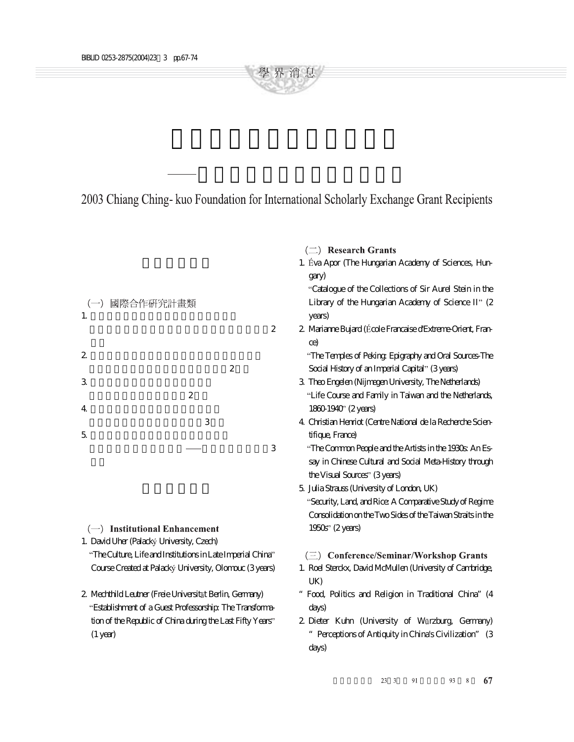2003 Chiang Ching- kuo Foundation for International Scholarly Exchange Grant Recipients

學 界 消 息

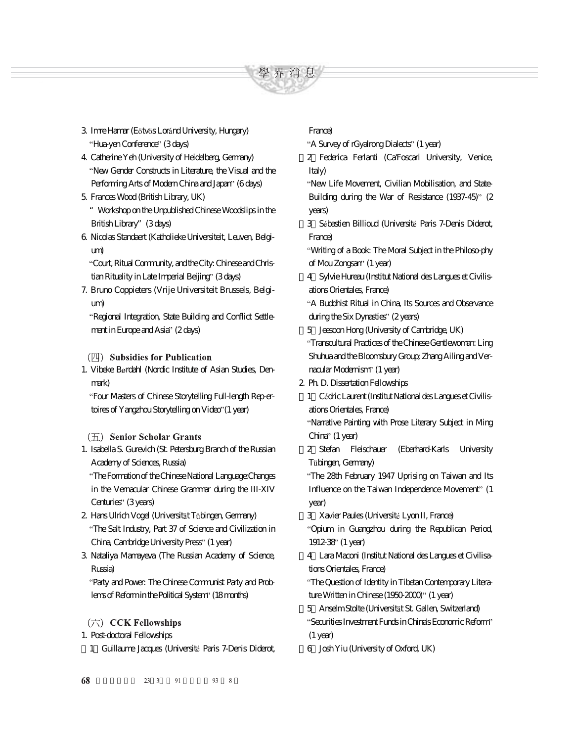

- 3 Imre Hamar (Eötvös Loránd University, Hungary) "Hua-yen Conference" (3 days)
- 4. Catherine Yeh (University of Heidelberg, Germany) New Gender Constructs in Literature, the Visual and the Performing Arts of Modern China and Japan" (6 days)
- 5. Frances Wood (British Library, UK)
- "Workshop on the Unpublished Chinese Woodslips in the British Library"(3 days)
- 6. Nicolas Standaert (Katholieke Universiteit, Leuven, Belgium)

Court, Ritual Community, and the City: Chinese and Christian Rituality in Late Imperial Beijing" (3 days)

7. Bruno Coppieters (Vrije Universiteit Brussels, Belgium)

Regional Integration, State Building and Conflict Settlement in Europe and Asia" (2 days)

(四) Subsidies for Publication

1. Vibeke Børdahl (Nordic Institute of Asian Studies, Denmark)

Four Masters of Chinese Storytelling Full-length Rep-ertoires of Yangzhou Storytelling on Video" (1 year)

## $(\overline{\text{h}})$  Senior Scholar Grants

1. Isabella S. Gurevich (St. Petersburg Branch of the Russian Academy of Sciences, Russia)

The Formation of the Chinese National Language:Changes in the Vernacular Chinese Grammar during the III-XIV Centuries" (3 years)

- 2. Hans Ulrich Vogel (Universität Tübingen, Germany) The Salt Industry, Part 37 of Science and Civilization in China, Cambridge University Press" (1 year)
- 3. Nataliya Mamayeva (The Russian Academy of Science, Russia)

Party and Power: The Chinese Communist Party and Problems of Reform in the Political System" (18 months)

- $(\overrightarrow{7})$  CCK Fellowships
- 1. Post-doctoral Fellowships
	- 1 Guillaume Jacques (Université Paris 7-Denis Diderot,

## France)

"A Survey of rGyalrong Dialects" (1 year)

(2)Federica Ferlanti (Ca'Foscari University, Venice, Italy)

New Life Movement, Civilian Mobilisation, and State-Building during the War of Resistance (1937-45)" (2) years)

3 Sébastien Billioud (Université Paris 7-Denis Diderot, France)

Writing of a Book: The Moral Subject in the Philoso-phy of Mou Zongsan' (1 year)

(4)Sylvie Hureau (Institut National des Langues et Civilisations Orientales, France)

A Buddhist Ritual in China, Its Sources and Observance during the Six Dynasties"  $(2 \text{ years})$ 

(5)Jeesoon Hong (University of Cambridge, UK)

Transcultural Practices of the Chinese Gentlewoman: Ling Shuhua and the Bloomsbury Group; Zhang Ailing and Vernacular Modernism<sup>"</sup> (1 year)

2. Ph. D. Dissertation Fellowships

1 Cédric Laurent (Institut National des Langues et Civilisations Orientales, France)

Narrative Painting with Prose Literary Subject in Ming China" (1 year)

(2)Stefan Fleischauer (Eberhard-Karls University Tübingen, Germany)

The 28th February 1947 Uprising on Taiwan and Its Influence on the Taiwan Independence Movement" (1 year)

3 Xavier Paules (Université Lyon II, France)

Opium in Guangzhou during the Republican Period, 1912-38 (1 year)

(4)Lara Maconi (Institut National des Langues et Civilisations Orientales, France)

The Question of Identity in Tibetan Contemporary Literature Written in Chinese (1950-2000)" (1 year)

5 Anselm Stolte (Universität St. Gallen, Switzerland) Securities Investment Funds in China's Economic Reform  $(1 \text{ year})$ 

(6)Josh Yiu (University of Oxford, UK)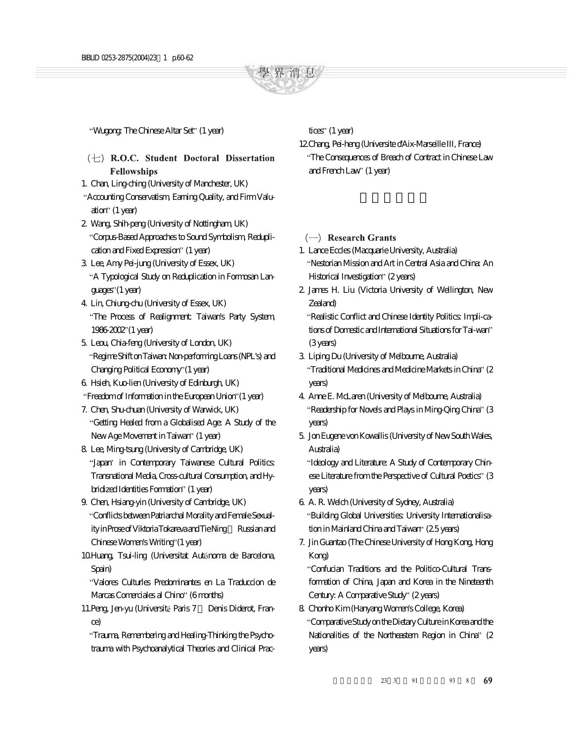

"Wugong: The Chinese Altar Set" (1 year)

- $(+)$  R.O.C. Student Doctoral Dissertation **Fellowships**
- 1. Chan, Ling-ching (University of Manchester, UK)
- Accounting Conservatism, Earning Quality, and Firm Valuation"  $(1$  year)
- 2. Wang, Shih-peng (University of Nottingham, UK) Corpus-Based Approaches to Sound Symbolism, Reduplication and Fixed Expression" (1 year)
- 3. Lee, Amy Pei-jung (University of Essex, UK) A Typological Study on Reduplication in Formosan Languages" (1 year)
- 4. Lin, Chiung-chu (University of Essex, UK) The Process of Realignment: Taiwan's Party System, 1986-2002 (1 year)
- 5. Leou, Chia-feng (University of London, UK) Regime Shift on Taiwan: Non-performing Loans (NPL's) and Changing Political Economy" (1 year)
- 6. Hsieh, Kuo-lien (University of Edinburgh, UK)
- "Freedom of Information in the European Union" (1 year)
- 7. Chen, Shu-chuan (University of Warwick, UK) Getting Healed from a Globalised Age: A Study of the New Age Movement in Taiwan" (1 year)
- 8. Lee, Ming-tsung (University of Cambridge, UK) "Japan' in Contemporary Taiwanese Cultural Politics: Transnational Media, Cross-cultural Consumption, and Hybridized Identities Formation" (1 year)
- 9. Chen, Hsiang-yin (University of Cambridge, UK) Conflicts between Patriarchal Morality and Female Sexuality in Prose of Viktoria Tokareva and Tie Ning- Russian and Chinese Women's Writing" (1 year)
- 10.Huang, Tsui-ling (Universitat Autónoma de Barcelona, Spain)

Valores Culturles Predominantes en La Traduccion de Marcas Comerciales al Chino" (6 months)

11. Peng, Jen-yu (Université Paris 7 - Denis Diderot, France)

Trauma, Remembering and Healing-Thinking the Psychotrauma with Psychoanalytical Theories and Clinical Practices"  $(1$  year)

12.Chang, Pei-heng (Universite d'Aix-Marseille III, France) The Consequences of Breach of Contract in Chinese Law and French Law' (1 year)

- $(-)$  Research Grants
- 1. Lance Eccles (Macquarie University, Australia) Nestorian Mission and Art in Central Asia and China: An Historical Investigation" (2 years)
- 2. James H. Liu (Victoria University of Wellington, New Zealand)

Realistic Conflict and Chinese Identity Politics: Impli-cations of Domestic and International Situations for Tai-wan (3 years)

- 3. Liping Du (University of Melbourne, Australia) "Traditional Medicines and Medicine Markets in China" (2 years)
- 4. Anne E. McLaren (University of Melbourne, Australia) "Readership for Novels and Plays in Ming-Qing China" (3 years)
- 5. Jon Eugene von Kowallis (University of New South Wales, Australia)

"Ideology and Literature: A Study of Contemporary Chinese Literature from the Perspective of Cultural Poetics" (3 years)

- 6. A. R. Welch (University of Sydney, Australia) Building Global Universities: University Internationalisation in Mainland China and Taiwan" (25 years)
- 7. Jin Guantao (The Chinese University of Hong Kong, Hong Kong)

Confucian Traditions and the Politico-Cultural Transformation of China, Japan and Korea in the Nineteenth Century: A Comparative Study" (2 years)

8. Chonho Kim (Hanyang Women's College, Korea) Comparative Study on the Dietary Culture in Korea and the Nationalities of the Northeastern Region in China" (2 years)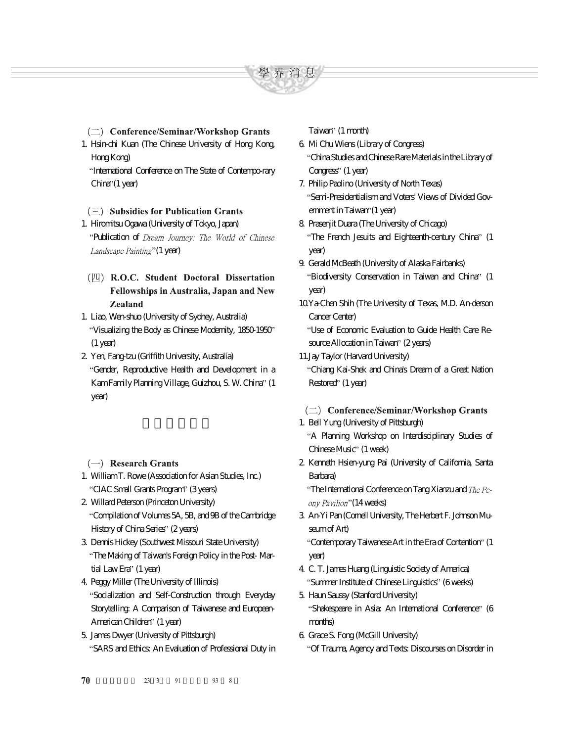

- $(\rightrightarrows)$  Conference/Seminar/Workshop Grants 1. Hsin-chi Kuan (The Chinese University of Hong Kong,
	- Hong Kong)

International Conference on The State of Contempo-rary  $Chira''(1$  year)

## $(\equiv)$  Subsidies for Publication Grants

# 1. Hiromitsu Ogawa (University of Tokyo, Japan)

"Publication of Dream Journey: The World of Chinese Landscape Painting"(1 year)

- (四) R.O.C. Student Doctoral Dissertation **Fellowships in Australia, Japan and New Zealand**
- 1. Liao, Wen-shuo (University of Sydney, Australia) Visualizing the Body as Chinese Modernity, 1850-1950  $(1 \text{ year})$
- 2. Yen, Fang-tzu (Griffith University, Australia) Gender, Reproductive Health and Development in a Kam Family Planning Village, Guizhou, S. W. China" (1 year)
- $(\rightarrow)$  Research Grants
- 1. William T. Rowe (Association for Asian Studies, Inc.) "CIAC Small Grants Program" (3 years)
- 2. Willard Peterson (Princeton University) Compilation of Volumes 5A, 5B, and 9B of the Cambridge History of China Series" (2 years)
- 3. Dennis Hickey (Southwest Missouri State University) The Making of Taiwan's Foreign Policy in the Post- Martial Law Era" (1 year)
- 4. Peggy Miller (The University of Illinois) Socialization and Self-Construction through Everyday Storytelling: A Comparison of Taiwanese and European-American Children<sup>"</sup> (1 year)
- 5. James Dwyer (University of Pittsburgh) SARS and Ethics: An Evaluation of Professional Duty in

Taiwan" (1 month)

- 6. Mi Chu Wiens (Library of Congress) China Studies and Chinese Rare Materials in the Library of Congress" (1 year)
- 7. Philip Paolino (University of North Texas) Semi-Presidentialism and Voters' Views of Divided Govemment in Taiwan'' (1 year)
- 8. Prasenjit Duara (The University of Chicago) "The French Jesuits and Eighteenth-century China" (1 year)
- 9. Gerald McBeath (University of Alaska Fairbanks) "Biodiversity Conservation in Taiwan and China" (1 year)
- 10.Ya-Chen Shih (The University of Texas, M.D. An-derson Cancer Center)

Use of Economic Evaluation to Guide Health Care Resource Allocation in Taiwan" (2 years)

11.Jay Taylor (Harvard University)

Chiang Kai-Shek and China's Dream of a Great Nation Restored' (1 year)

- (二) Conference/Seminar/Workshop Grants
- 1. Bell Yung (University of Pittsburgh)

A Planning Workshop on Interdisciplinary Studies of Chinese Music" (1 week)

2. Kenneth Hsien-yung Pai (University of California, Santa Barbara)

"The International Conference on Tang Xianzu and  $The$   $Pe$ ony Pavilion" (14 weeks)

3. An-Yi Pan (Cornell University, The Herbert F. Johnson Museum of Art)

"Contemporary Taiwanese Art in the Era of Contention" (1 year)

- 4. C. T. James Huang (Linguistic Society of America) "Summer Institute of Chinese Linguistics" (6 weeks)
- 5. Haun Saussy (Stanford University) "Shakespeare in Asia: An International Conference" (6 months)
- 6. Grace S. Fong (McGill University) Of Trauma, Agency and Texts: Discourses on Disorder in
- 70 23 3 91 93  $8<sup>8</sup>$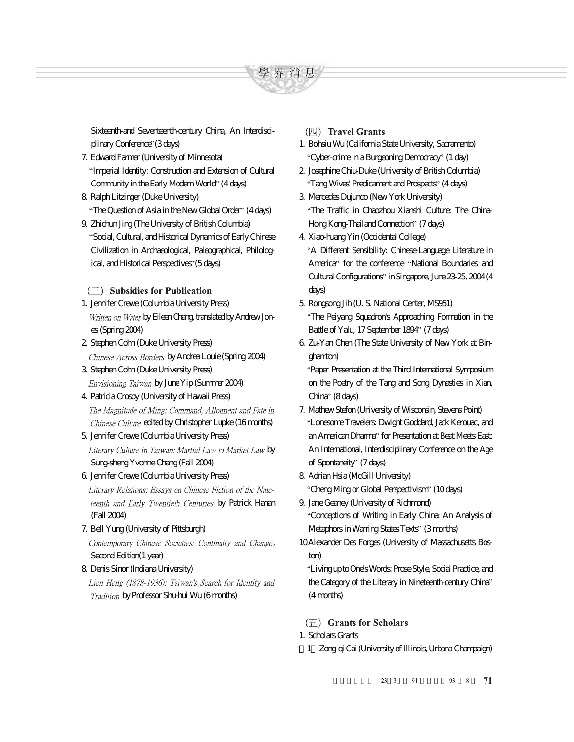學 界 消 息

Sixteenth-and Seventeenth-century China, An Interdisciplinary Conference" (3 days)

- 7. Edward Farmer (University of Minnesota) Imperial Identity: Construction and Extension of Cultural Community in the Early Modern World<sup>"</sup> (4 days)
- 8. Ralph Litzinger (Duke University) "The Question of Asia in the New Global Order" (4 days)
- 9. Zhichun Jing (The University of British Columbia) Social, Cultural, and Historical Dynamics of Early Chinese Civilization in Archaeological, Paleographical, Philological, and Historical Perspectives" (5 days)

 $(\equiv)$  Subsidies for Publication

- 1. Jennifer Crewe (Columbia University Press) Written on Water by Eileen Chang, translated by Andrew Jones (Spring 2004)
- 2. Stephen Cohn (Duke University Press) Chinese Across Borders by Andrea Louie (Spring 2004)
- 3. Stephen Cohn (Duke University Press) Envisioning Taiwan by June Yip (Summer 2004)
- 4. Patricia Crosby (University of Hawaii Press) The Magnitude of Ming: Command, Allotment and Fate in Chinese Culture edited by Christopher Lupke (16 morths)
- 5. Jennifer Crewe (Columbia University Press) Literary Culture in Taiwan: Martial Law to Market Law by Sung-sheng Yvonne Chang (Fall 2004)
- 6. Jennifer Crewe (Columbia University Press) Literary Relations: Essays on Chinese Fiction of the Nineteenth and Early Twentieth Centuries by Patrick Hanan (Fall 2004)
- 7. Bell Yung (University of Pittsburgh) Contemporary Chinese Societies: Continuity and Change, Second Edition(1 year)

### 8. Denis Sinor (Indiana University)

Lien Heng (1878-1936): Taiwan's Search for Identity and Tradition by Professor Shu-hui Wu (6 morths)

- (四) Travel Grants
- 1. Bohsiu Wu (California State University, Sacramento) "Cyber-crime in a Burgeoning Democracy" (1 day)
- 2. Josephine Chiu-Duke (University of British Columbia) "Tang Wives' Predicament and Prospects" (4 days)
- 3. Mercedes Dujunco (New York University) The Traffic in Chaozhou Xianshi Culture: The China-Hong Kong-Thailand Connection" (7 days)
- 4. Xiao-huang Yin (Occidental College) A Different Sensibility: Chinese-Language Literature in America" for the conference "National Boundaries and Cultural Configurations" in Singapore, June 23-25, 2004 (4 days)
- 5. Rongsong Jih (U. S. National Center, MS951) The Peiyang Squadron's Approaching Formation in the Battle of Yalu, 17 September 1894" (7 days)
- 6. Zu-Yan Chen (The State University of New York at Binghamton)

Paper Presentation at the Third International Symposium on the Poetry of the Tang and Song Dynasties in Xian, China" (8 days)

- 7. Mathew Stefon (University of Wisconsin, Stevens Point) Lonesome Travelers: Dwight Goddard, Jack Kerouac, and an American Dharma" for Presentation at Beat Meets East: An International, Interdisciplinary Conference on the Age of Spontaneity" (7 days)
- 8. Adrian Hsia (McGill University) "Cheng Ming or Global Perspectivism" (10 days)
- 9. Jane Geaney (University of Richmond) Conceptions of Writing in Early China: An Analysis of Metaphors in Warring States Texts" (3 months)
- 10.Alexander Des Forges (University of Massachusetts Boston)

Living up to One's Words: Prose Style, Social Practice, and the Category of the Literary in Nineteenth-century China (4 months)

 $(\overline{\text{h}})$  Grants for Scholars

- 1. Scholars Grants
	- (1)Zong-qi Cai (University of Illinois, Urbana-Champaign)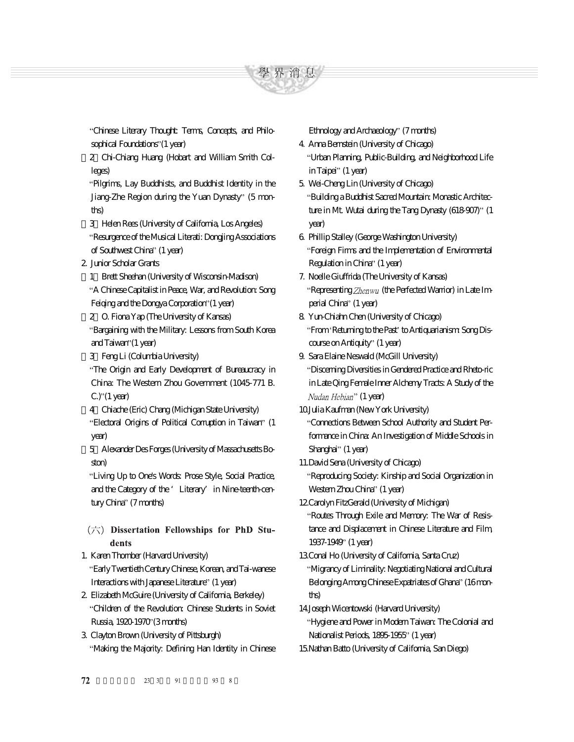

Chinese Literary Thought: Terms, Concepts, and Philosophical Foundations" (1 year)

(2)Chi-Chiang Huang (Hobart and William Smith Colleges)

Pilgrims, Lay Buddhists, and Buddhist Identity in the Jiang-Zhe Region during the Yuan Dynasty" (5 months)

(3)Helen Rees (University of California, Los Angeles) Resurgence of the Musical Literati: Dongjing Associations of Southwest China" (1 year)

### 2. Junior Scholar Grants

(1)Brett Sheehan (University of Wisconsin-Madison)

A Chinese Capitalist in Peace, War, and Revolution: Song Feiging and the Dongya Corporation" (1 year)

(2)O. Fiona Yap (The University of Kansas) Bargaining with the Military: Lessons from South Korea and Taiwan" (1 year)

(3)Feng Li (Columbia University)

The Origin and Early Development of Bureaucracy in China: The Western Zhou Government (1045-771 B.  $C.'$  (1 year)

(4)Chiache (Eric) Chang (Michigan State University)

"Electoral Origins of Political Corruption in Taiwan" (1 year)

(5)Alexander Des Forges (University of Massachusetts Boston)

Living Up to One's Words: Prose Style, Social Practice, and the Category of the 'Literary' in Nine-teenth-century China" (7 months)

- $(\overrightarrow{7})$  Dissertation Fellowships for PhD Students
- 1. Karen Thornber (Harvard University) Early Twentieth Century Chinese, Korean, and Tai-wanese Interactions with Japanese Literature" (1 year)
- 2. Elizabeth McGuire (University of California, Berkeley) Children of the Revolution: Chinese Students in Soviet Russia, 1920-1970 (3 months)

3. Clayton Brown (University of Pittsburgh) Making the Majority: Defining Han Identity in Chinese Ethnology and Archaeology" (7 months)

4. Anna Bernstein (University of Chicago) Urban Planning, Public-Building, and Neighborhood Life in Taipei" (1 year)

5. Wei-Cheng Lin (University of Chicago) Building a Buddhist Sacred Mountain: Monastic Architecture in Mt. Wutai during the Tang Dynasty (618-907)" (1 year)

6. Phillip Stalley (George Washington University) Foreign Firms and the Implementation of Environmental Regulation in China" (1 year)

7. Noelle Giuffrida (The University of Kansas) "Representing  $Zhenwu$  (the Perfected Warrior) in Late Imperial China" (1 year)

8. Yun-Chiahn Chen (University of Chicago) "From Returning to the Past" to Antiquarianism Song Discourse on Antiquity" (1 year)

9. Sara Elaine Neswald (McGill University) Discerning Diversities in Gendered Practice and Rheto-ric in Late Qing Female Inner Alchemy Tracts: A Study of the Nudan Hebian" (1 year)

10.Julia Kaufman (New York University)

Connections Between School Authority and Student Performance in China: An Investigation of Middle Schools in Shanghai" (1 year)

11.David Sena (University of Chicago) Reproducing Society: Kinship and Social Organization in Western Zhou China" (1 year)

12.Carolyn FitzGerald (University of Michigan) Routes Through Exile and Memory: The War of Resistance and Displacement in Chinese Literature and Film, 1937-1949 (1 year)

13.Conal Ho (University of California, Santa Cruz) Migrancy of Liminality: Negotiating National and Cultural Belonging Among Chinese Expatriates of Ghana" (16 months)

14.Joseph Wicentowski (Harvard University)

Hygiene and Power in Modern Taiwan: The Colonial and Nationalist Periods, 1895-1955<sup>,</sup> (1 year) 15.Nathan Batto (University of California, San Diego)

72 23 3 91 93  $\overline{8}$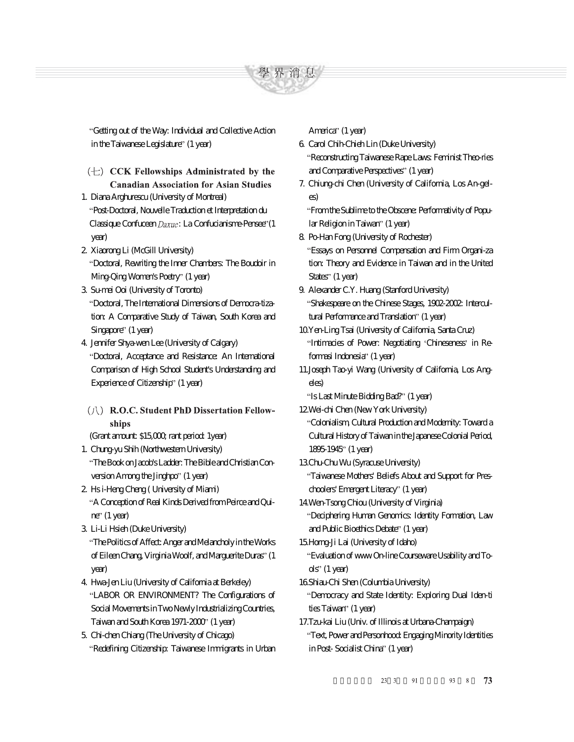

Getting out of the Way: Individual and Collective Action in the Taiwanese Legislature" (1 year)

- $(\pm)$  CCK Fellowships Administrated by the **Canadian Association for Asian Studies**
- 1. Diana Arghurescu (University of Montreal) Post-Doctoral, Nouvelle Traduction et Interpretation du Classique Confuceen  $Daxue$ : La Confucianisme-Pensee" (1 year)
- 2. Xiaorong Li (McGill University) Doctoral, Rewriting the Inner Chambers: The Boudoir in Ming-Qing Women's Poetry" (1 year)
- 3. Su-mei Ooi (University of Toronto) Doctoral, The International Dimensions of Democra-tization: A Comparative Study of Taiwan, South Korea and Singapore" (1 year)
- 4. Jennifer Shya-wen Lee (University of Calgary) Doctoral, Acceptance and Resistance: An International Comparison of High School Student's Understanding and Experience of Citizenship" (1 year)
- (/\) R.O.C. Student PhD Dissertation Fellowships
- (Grant amount: \$15,000; rant period: 1year)
- 1. Chung-yu Shih (Northwestern University) The Book on Jacob's Ladder: The Bible and Christian Conversion Among the Jinghpo" (1 year)
- 2. Hs i-Heng Cheng ( University of Miami) A Conception of Real Kinds Derived from Peirce and Qui $ne'$  (1 year)
- 3. Li-Li Hsieh (Duke University) The Politics of Affect: Anger and Melancholy in the Works of Eileen Chang, Virginia Woolf, and Marguerite Duras" (1 year)
- 4. Hwa-Jen Liu (University of California at Berkeley) LABOR OR ENVIRONMENT? The Configurations of Social Movements in Two Newly Industrializing Countries, Taiwan and South Korea 1971-2000' (1 year)
- 5. Chi-chen Chiang (The University of Chicago) Redefining Citizenship: Taiwanese Immigrants in Urban

America" (1 year)

- 6. Carol Chih-Chieh Lin (Duke University) Reconstructing Taiwanese Rape Laws: Feminist Theo-ries and Comparative Perspectives" (1 year)
- 7. Chiung-chi Chen (University of California, Los An-geles)

From the Sublime to the Obscene: Performativity of Popular Religion in Taiwan" (1 year)

- 8. Po-Han Fong (University of Rochester) Essays on Personnel Compensation and Firm Organi-za tion: Theory and Evidence in Taiwan and in the United States" (1 year)
- 9. Alexander C.Y. Huang (Stanford University) Shakespeare on the Chinese Stages, 1902-2002: Intercultural Performance and Translation" (1 year)
- 10.Yen-Ling Tsai (University of California, Santa Cruz) "Intimacies of Power: Negotiating 'Chineseness' in Reformasi Indonesia" (1 year)
- 11.Joseph Tao-yi Wang (University of California, Los Angeles)

"Is Last Minute Bidding Bad?" (1 year)

- 12.Wei-chi Chen (New York University) Colonialism, Cultural Production and Modernity: Toward a
	- Cultural History of Taiwan in the Japanese Colonial Period, 1895-1945' (1 year)
- 13.Chu-Chu Wu (Syracuse University) Taiwanese Mothers' Beliefs About and Support for Pres
	- choolers' Emergent Literacy" (1 year)
- 14.Wen-Tsong Chiou (University of Virginia) Deciphering Human Genomics: Identity Formation, Law
	- and Public Bioethics Debate" (1 year)
- 15.Horng-Ji Lai (University of Idaho) Evaluation of www On-line Courseware Usability and To
	- $ds'$  (1 year)

16.Shiau-Chi Shen (Columbia University)

- Democracy and State Identity: Exploring Dual Iden-ti ties Taiwan" (1 year)
- 17.Tzu-kai Liu (Univ. of Illinois at Urbana-Champaign) Text, Power and Personhood: Engaging Minority Identities in Post-Socialist China" (1 year)